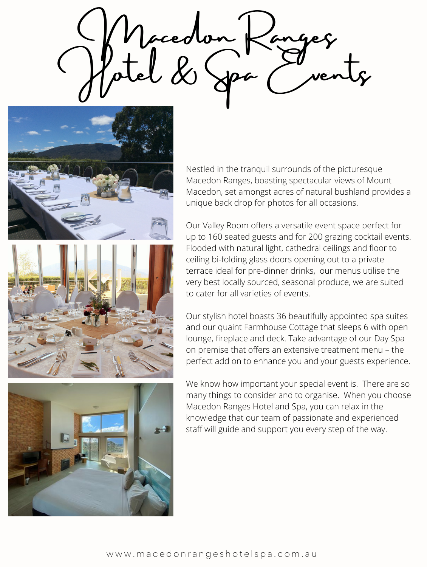rcedo Molel & Spa (vents







Nestled in the tranquil surrounds of the picturesque Macedon Ranges, boasting spectacular views of Mount Macedon, set amongst acres of natural bushland provides a unique back drop for photos for all occasions.

Our Valley Room offers a versatile event space perfect for up to 160 seated guests and for 200 grazing cocktail events. Flooded with natural light, cathedral ceilings and floor to ceiling bi-folding glass doors opening out to a private terrace ideal for pre-dinner drinks, our menus utilise the very best locally sourced, seasonal produce, we are suited to cater for all varieties of events.

Our stylish hotel boasts 36 beautifully appointed spa suites and our quaint Farmhouse Cottage that sleeps 6 with open lounge, fireplace and deck. Take advantage of our Day Spa on premise that offers an extensive treatment menu – the perfect add on to enhance you and your guests experience.

We know how important your special event is. There are so many things to consider and to organise. When you choose Macedon Ranges Hotel and Spa, you can relax in the knowledge that our team of passionate and experienced staff will guide and support you every step of the way.